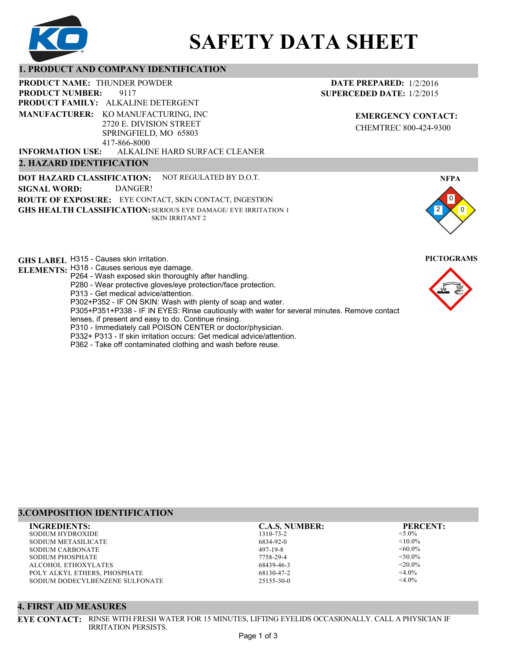

# **SAFETY DATA SHEET**

# **1. PRODUCT AND COMPANY IDENTIFICATION**

9117 **PRODUCT NAME: THUNDER POWDER PRODUCT FAMILY: ALKALINE DETERGENT** ALKALINE HARD SURFACE CLEANER **PRODUCT NUMBER: 2. HAZARD IDENTIFICATION MANUFACTURER:** KO MANUFACTURING, INC 2720 E. DIVISION STREET SPRINGFIELD, MO 65803 417-866-8000 **INFORMATION USE:**

**DOT HAZARD CLASSIFICATION: GHS HEALTH CLASSIFICATION:** SERIOUS EYE DAMAGE/ EYE IRRITATION 1 **ROUTE OF EXPOSURE:** EYE CONTACT, SKIN CONTACT, INGESTION NOT REGULATED BY D.O.T. SKIN IRRITANT 2 **SIGNAL WORD:** DANGER!

**GHS LABEL**  H315 - Causes skin irritation. **PICTOGRAMS**

**ELEMENTS:** H318 - Causes serious eye damage.

- P264 Wash exposed skin thoroughly after handling.
- P280 Wear protective gloves/eye protection/face protection.

P313 - Get medical advice/attention.

P302+P352 - IF ON SKIN: Wash with plenty of soap and water.

P305+P351+P338 - IF IN EYES: Rinse cautiously with water for several minutes. Remove contact

- lenses, if present and easy to do. Continue rinsing.
- P310 Immediately call POISON CENTER or doctor/physician.
- P332+ P313 If skin irritation occurs: Get medical advice/attention.
- P362 Take off contaminated clothing and wash before reuse.

# **3.COMPOSITION IDENTIFICATION**

SODIUM HYDROXIDE SODIUM METASILICATE SODIUM CARBONATE SODIUM PHOSPHATE ALCOHOL ETHOXYLATES POLY ALKYL ETHERS, PHOSPHATE SODIUM DODECYLBENZENE SULFONATE **INGREDIENTS: C.A.S. NUMBER: PERCENT:**

IRRITATION PERSISTS.

**4. FIRST AID MEASURES**

1310-73-2 6834-92-0 497-19-8 7758-29-4 68439-46-3 68130-47-2 25155-30-0

<5.0%  $< 10.0\%$  $<0.0\%$  $< 50.0\%$  $<$ 20.0%  $<$ 4.0%  $<$ 4.0%

2

0 0

**NFPA**



**DATE PREPARED:** 1/2/2016 **SUPERCEDED DATE:** 1/2/2015

> **EMERGENCY CONTACT:** CHEMTREC 800-424-9300

Page 1 of 3

**EYE CONTACT:** RINSE WITH FRESH WATER FOR 15 MINUTES, LIFTING EYELIDS OCCASIONALLY. CALL A PHYSICIAN IF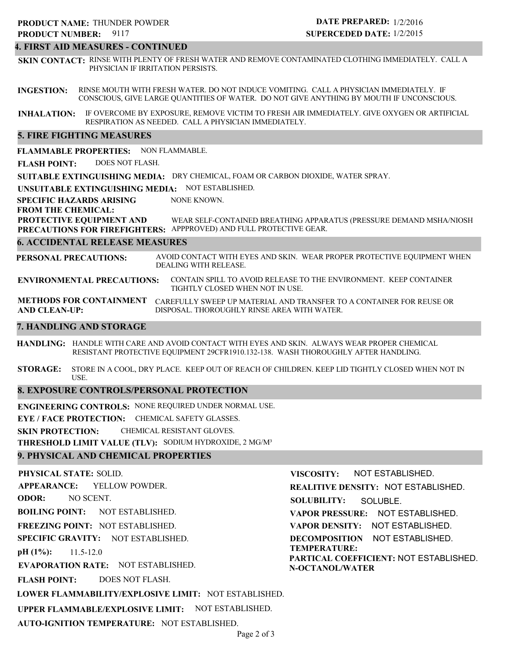# **4. FIRST AID MEASURES - CONTINUED**

**SKIN CONTACT:** RINSE WITH PLENTY OF FRESH WATER AND REMOVE CONTAMINATED CLOTHING IMMEDIATELY. CALL A PHYSICIAN IF IRRITATION PERSISTS.

**INGESTION:** RINSE MOUTH WITH FRESH WATER. DO NOT INDUCE VOMITING. CALL A PHYSICIAN IMMEDIATELY. IF CONSCIOUS, GIVE LARGE QUANTITIES OF WATER. DO NOT GIVE ANYTHING BY MOUTH IF UNCONSCIOUS.

**INHALATION:** IF OVERCOME BY EXPOSURE, REMOVE VICTIM TO FRESH AIR IMMEDIATELY. GIVE OXYGEN OR ARTIFICIAL RESPIRATION AS NEEDED. CALL A PHYSICIAN IMMEDIATELY.

# **5. FIRE FIGHTING MEASURES**

**FLAMMABLE PROPERTIES:** NON FLAMMABLE.

**FLASH POINT:** DOES NOT FLASH.

**SUITABLE EXTINGUISHING MEDIA:** DRY CHEMICAL, FOAM OR CARBON DIOXIDE, WATER SPRAY.

**UNSUITABLE EXTINGUISHING MEDIA:** NOT ESTABLISHED.

**SPECIFIC HAZARDS ARISING** NONE KNOWN.

**FROM THE CHEMICAL:**

**PROTECTIVE EQUIPMENT AND** WEAR SELF-CONTAINED BREATHING APPARATUS (PRESSURE DEMAND MSHA/NIOSH

**PRECAUTIONS FOR FIREFIGHTERS:** APPPROVED) AND FULL PROTECTIVE GEAR.

# **6. ACCIDENTAL RELEASE MEASURES**

**PERSONAL PRECAUTIONS:** AVOID CONTACT WITH EYES AND SKIN. WEAR PROPER PROTECTIVE EQUIPMENT WHEN DEALING WITH RELEASE.

**ENVIRONMENTAL PRECAUTIONS:** CONTAIN SPILL TO AVOID RELEASE TO THE ENVIRONMENT. KEEP CONTAINER TIGHTLY CLOSED WHEN NOT IN USE.

**METHODS FOR CONTAINMENT** CAREFULLY SWEEP UP MATERIAL AND TRANSFER TO A CONTAINER FOR REUSE OR **AND CLEAN-UP:** DISPOSAL. THOROUGHLY RINSE AREA WITH WATER.

# **7. HANDLING AND STORAGE**

**HANDLING:** HANDLE WITH CARE AND AVOID CONTACT WITH EYES AND SKIN. ALWAYS WEAR PROPER CHEMICAL RESISTANT PROTECTIVE EQUIPMENT 29CFR1910.132-138. WASH THOROUGHLY AFTER HANDLING.

**STORAGE:** STORE IN A COOL, DRY PLACE. KEEP OUT OF REACH OF CHILDREN. KEEP LID TIGHTLY CLOSED WHEN NOT IN USE.

# **8. EXPOSURE CONTROLS/PERSONAL PROTECTION**

**ENGINEERING CONTROLS:** NONE REQUIRED UNDER NORMAL USE.

**EYE / FACE PROTECTION:** CHEMICAL SAFETY GLASSES.

**SKIN PROTECTION:** CHEMICAL RESISTANT GLOVES.

**THRESHOLD LIMIT VALUE (TLV):** SODIUM HYDROXIDE, 2 MG/M³

# **9. PHYSICAL AND CHEMICAL PROPERTIES**

**PHYSICAL STATE:** SOLID. **APPEARANCE: ODOR: BOILING POINT:** NOT ESTABLISHED. **FREEZING POINT:** NOT ESTABLISHED. **SPECIFIC GRAVITY:** NOT ESTABLISHED. **pH (1%): EVAPORATION RATE:** NOT ESTABLISHED. **FLASH POINT: LOWER FLAMMABILITY/EXPLOSIVE LIMIT:** NOT ESTABLISHED. **UPPER FLAMMABLE/EXPLOSIVE LIMIT:** NOT ESTABLISHED. 11.5-12.0 DOES NOT FLASH. YELLOW POWDER. NO SCENT. **VISCOSITY: REALITIVE DENSITY:** NOT ESTABLISHED. **SOLUBILITY: VAPOR PRESSURE:** NOT ESTABLISHED. **VAPOR DENSITY:** NOT ESTABLISHED. **DECOMPOSITION** NOT ESTABLISHED. **TEMPERATURE: PARTICAL COEFFICIENT:** NOT ESTABLISHED. **N-OCTANOL/WATER** NOT ESTABLISHED. SOLUBLE.

**AUTO-IGNITION TEMPERATURE:** NOT ESTABLISHED.